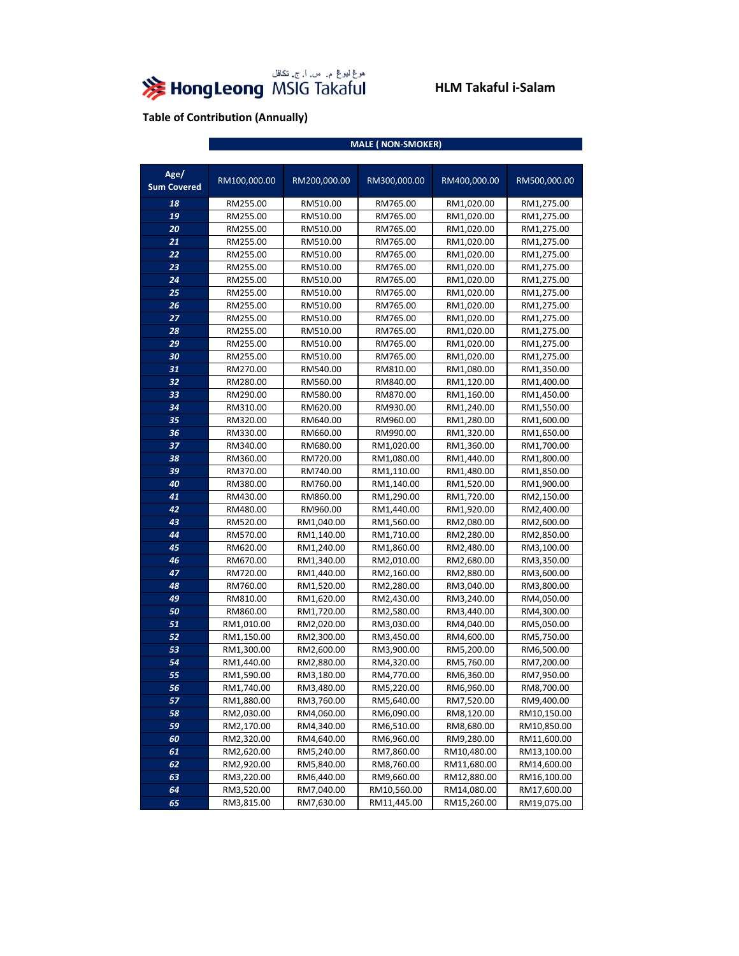

|                            | <b>MALE (NON-SMOKER)</b> |              |              |              |              |  |
|----------------------------|--------------------------|--------------|--------------|--------------|--------------|--|
|                            |                          |              |              |              |              |  |
| Age/<br><b>Sum Covered</b> | RM100,000.00             | RM200,000.00 | RM300,000.00 | RM400,000.00 | RM500,000.00 |  |
| 18                         | RM255.00                 | RM510.00     | RM765.00     | RM1,020.00   | RM1,275.00   |  |
| 19                         | RM255.00                 | RM510.00     | RM765.00     | RM1,020.00   | RM1,275.00   |  |
| 20                         | RM255.00                 | RM510.00     | RM765.00     | RM1,020.00   | RM1,275.00   |  |
| 21                         | RM255.00                 | RM510.00     | RM765.00     | RM1,020.00   | RM1,275.00   |  |
| 22                         | RM255.00                 | RM510.00     | RM765.00     | RM1,020.00   | RM1,275.00   |  |
| 23                         | RM255.00                 | RM510.00     | RM765.00     | RM1,020.00   | RM1,275.00   |  |
| 24                         | RM255.00                 | RM510.00     | RM765.00     | RM1,020.00   | RM1,275.00   |  |
| 25                         | RM255.00                 | RM510.00     | RM765.00     | RM1,020.00   | RM1,275.00   |  |
| 26                         | RM255.00                 | RM510.00     | RM765.00     | RM1,020.00   | RM1,275.00   |  |
| 27                         | RM255.00                 | RM510.00     | RM765.00     | RM1,020.00   | RM1,275.00   |  |
| 28                         | RM255.00                 | RM510.00     | RM765.00     | RM1,020.00   | RM1,275.00   |  |
| 29                         | RM255.00                 | RM510.00     | RM765.00     | RM1,020.00   | RM1,275.00   |  |
| 30                         | RM255.00                 | RM510.00     | RM765.00     | RM1,020.00   | RM1,275.00   |  |
| 31                         | RM270.00                 | RM540.00     | RM810.00     | RM1,080.00   | RM1,350.00   |  |
| 32                         | RM280.00                 | RM560.00     | RM840.00     | RM1,120.00   | RM1,400.00   |  |
| 33                         | RM290.00                 | RM580.00     | RM870.00     | RM1,160.00   | RM1,450.00   |  |
| 34                         | RM310.00                 | RM620.00     | RM930.00     | RM1,240.00   | RM1,550.00   |  |
| 35                         | RM320.00                 | RM640.00     | RM960.00     | RM1,280.00   | RM1,600.00   |  |
| 36                         | RM330.00                 | RM660.00     | RM990.00     | RM1,320.00   | RM1,650.00   |  |
| 37                         | RM340.00                 | RM680.00     | RM1,020.00   | RM1,360.00   | RM1,700.00   |  |
| 38                         | RM360.00                 | RM720.00     | RM1,080.00   | RM1,440.00   | RM1,800.00   |  |
| 39                         | RM370.00                 | RM740.00     | RM1,110.00   | RM1,480.00   | RM1,850.00   |  |
| 40                         | RM380.00                 | RM760.00     | RM1,140.00   | RM1,520.00   | RM1,900.00   |  |
| 41                         | RM430.00                 | RM860.00     | RM1,290.00   | RM1,720.00   | RM2,150.00   |  |
| 42                         | RM480.00                 | RM960.00     | RM1,440.00   | RM1,920.00   | RM2,400.00   |  |
| 43                         | RM520.00                 | RM1,040.00   | RM1,560.00   | RM2,080.00   | RM2,600.00   |  |
| 44                         | RM570.00                 | RM1,140.00   | RM1,710.00   | RM2,280.00   | RM2,850.00   |  |
| 45                         | RM620.00                 | RM1,240.00   | RM1,860.00   | RM2,480.00   | RM3,100.00   |  |
| 46                         | RM670.00                 | RM1,340.00   | RM2,010.00   | RM2,680.00   | RM3,350.00   |  |
| 47                         | RM720.00                 | RM1,440.00   | RM2,160.00   | RM2,880.00   | RM3,600.00   |  |
| 48                         | RM760.00                 | RM1,520.00   | RM2,280.00   | RM3,040.00   | RM3,800.00   |  |
| 49                         | RM810.00                 | RM1,620.00   | RM2,430.00   | RM3,240.00   | RM4,050.00   |  |
| 50                         | RM860.00                 | RM1,720.00   | RM2,580.00   | RM3,440.00   | RM4,300.00   |  |
| 51                         | RM1,010.00               | RM2,020.00   | RM3,030.00   | RM4,040.00   | RM5,050.00   |  |
| 52                         | RM1,150.00               | RM2,300.00   | RM3,450.00   | RM4,600.00   | RM5,750.00   |  |
| 53                         | RM1,300.00               | RM2,600.00   | RM3,900.00   | RM5,200.00   | RM6,500.00   |  |
| 54                         | RM1,440.00               | RM2,880.00   | RM4,320.00   | RM5,760.00   | RM7,200.00   |  |
| 55                         | RM1,590.00               | RM3,180.00   | RM4,770.00   | RM6,360.00   | RM7,950.00   |  |
| 56                         | RM1,740.00               | RM3,480.00   | RM5,220.00   | RM6,960.00   | RM8,700.00   |  |
| 57                         | RM1,880.00               | RM3,760.00   | RM5,640.00   | RM7,520.00   | RM9,400.00   |  |
| 58                         | RM2,030.00               | RM4,060.00   | RM6,090.00   | RM8,120.00   | RM10,150.00  |  |
| 59                         | RM2,170.00               | RM4,340.00   | RM6,510.00   | RM8,680.00   | RM10,850.00  |  |
| 60                         | RM2,320.00               | RM4,640.00   | RM6,960.00   | RM9,280.00   | RM11,600.00  |  |
| 61                         | RM2,620.00               | RM5,240.00   | RM7,860.00   | RM10,480.00  | RM13,100.00  |  |
| 62                         | RM2,920.00               | RM5,840.00   | RM8,760.00   | RM11,680.00  | RM14,600.00  |  |
| 63                         | RM3,220.00               | RM6,440.00   | RM9,660.00   | RM12,880.00  | RM16,100.00  |  |
| 64                         | RM3,520.00               | RM7,040.00   | RM10,560.00  | RM14,080.00  | RM17,600.00  |  |
| 65                         | RM3,815.00               | RM7,630.00   | RM11,445.00  | RM15,260.00  | RM19,075.00  |  |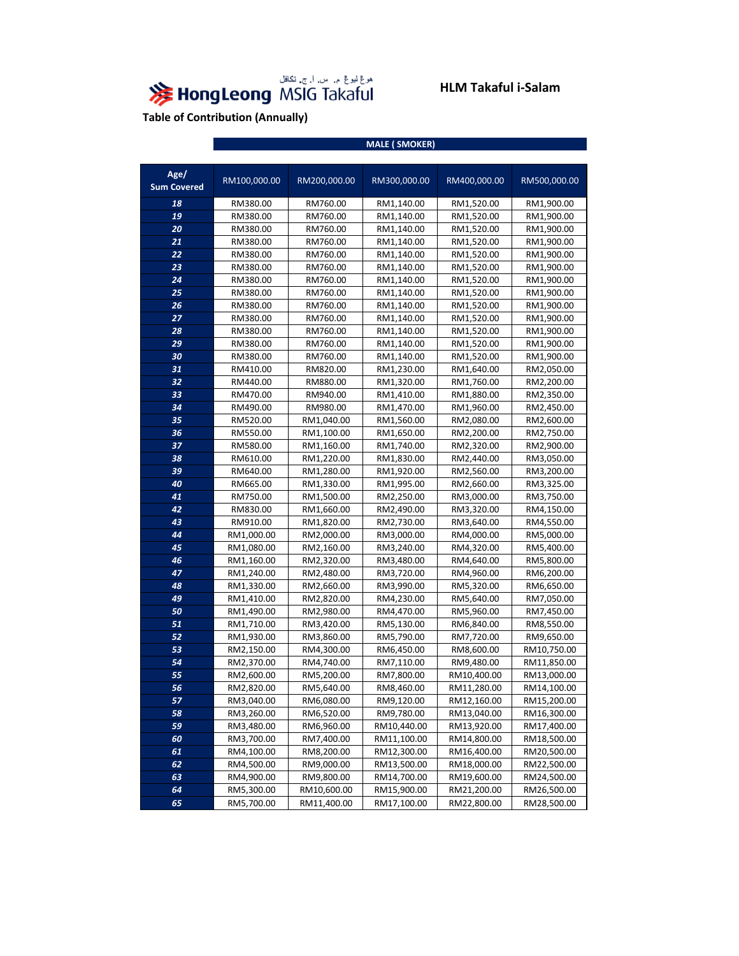

|                            | <b>MALE (SMOKER)</b> |              |              |              |              |  |
|----------------------------|----------------------|--------------|--------------|--------------|--------------|--|
|                            |                      |              |              |              |              |  |
| Age/<br><b>Sum Covered</b> | RM100,000.00         | RM200,000.00 | RM300,000.00 | RM400,000.00 | RM500,000.00 |  |
| 18                         | RM380.00             | RM760.00     | RM1,140.00   | RM1,520.00   | RM1,900.00   |  |
| 19                         | RM380.00             | RM760.00     | RM1,140.00   | RM1,520.00   | RM1,900.00   |  |
| 20                         | RM380.00             | RM760.00     | RM1,140.00   | RM1,520.00   | RM1,900.00   |  |
| 21                         | RM380.00             | RM760.00     | RM1,140.00   | RM1,520.00   | RM1,900.00   |  |
| 22                         | RM380.00             | RM760.00     | RM1,140.00   | RM1,520.00   | RM1,900.00   |  |
| 23                         | RM380.00             | RM760.00     | RM1,140.00   | RM1,520.00   | RM1,900.00   |  |
| 24                         | RM380.00             | RM760.00     | RM1,140.00   | RM1,520.00   | RM1,900.00   |  |
| 25                         | RM380.00             | RM760.00     | RM1,140.00   | RM1,520.00   | RM1,900.00   |  |
| 26                         | RM380.00             | RM760.00     | RM1,140.00   | RM1,520.00   | RM1,900.00   |  |
| 27                         | RM380.00             | RM760.00     | RM1,140.00   | RM1,520.00   | RM1,900.00   |  |
| 28                         | RM380.00             | RM760.00     | RM1,140.00   | RM1,520.00   | RM1,900.00   |  |
| 29                         | RM380.00             | RM760.00     | RM1,140.00   | RM1,520.00   | RM1,900.00   |  |
| 30                         | RM380.00             | RM760.00     | RM1,140.00   | RM1,520.00   | RM1,900.00   |  |
| 31                         | RM410.00             | RM820.00     | RM1,230.00   | RM1,640.00   | RM2,050.00   |  |
| 32                         | RM440.00             | RM880.00     | RM1,320.00   | RM1,760.00   | RM2,200.00   |  |
| 33                         | RM470.00             | RM940.00     | RM1,410.00   | RM1,880.00   | RM2,350.00   |  |
| 34                         | RM490.00             | RM980.00     | RM1,470.00   | RM1,960.00   | RM2,450.00   |  |
| 35                         | RM520.00             | RM1,040.00   | RM1,560.00   | RM2,080.00   | RM2,600.00   |  |
| 36                         | RM550.00             | RM1,100.00   | RM1,650.00   | RM2,200.00   | RM2,750.00   |  |
| 37                         | RM580.00             | RM1,160.00   | RM1,740.00   | RM2,320.00   | RM2,900.00   |  |
| 38                         | RM610.00             | RM1,220.00   | RM1,830.00   | RM2,440.00   | RM3,050.00   |  |
| 39                         | RM640.00             | RM1,280.00   | RM1,920.00   | RM2,560.00   | RM3,200.00   |  |
| 40                         | RM665.00             | RM1,330.00   | RM1,995.00   | RM2,660.00   | RM3,325.00   |  |
| 41                         | RM750.00             | RM1,500.00   | RM2,250.00   | RM3,000.00   | RM3,750.00   |  |
| 42                         | RM830.00             | RM1,660.00   | RM2,490.00   | RM3,320.00   | RM4,150.00   |  |
| 43                         | RM910.00             | RM1,820.00   | RM2,730.00   | RM3,640.00   | RM4,550.00   |  |
| 44                         | RM1,000.00           | RM2,000.00   | RM3,000.00   | RM4,000.00   | RM5,000.00   |  |
| 45                         | RM1,080.00           | RM2,160.00   | RM3,240.00   | RM4,320.00   | RM5,400.00   |  |
| 46                         | RM1,160.00           | RM2,320.00   | RM3,480.00   | RM4,640.00   | RM5,800.00   |  |
| 47                         | RM1,240.00           | RM2,480.00   | RM3,720.00   | RM4,960.00   | RM6,200.00   |  |
| 48                         | RM1,330.00           | RM2,660.00   | RM3,990.00   | RM5,320.00   | RM6,650.00   |  |
| 49                         | RM1,410.00           | RM2,820.00   | RM4,230.00   | RM5,640.00   | RM7,050.00   |  |
| 50                         | RM1,490.00           | RM2,980.00   | RM4,470.00   | RM5,960.00   | RM7,450.00   |  |
| 51                         | RM1,710.00           | RM3,420.00   | RM5,130.00   | RM6,840.00   | RM8,550.00   |  |
| 52                         | RM1,930.00           | RM3,860.00   | RM5,790.00   | RM7,720.00   | RM9,650.00   |  |
| 53                         | RM2,150.00           | RM4,300.00   | RM6,450.00   | RM8,600.00   | RM10,750.00  |  |
| 54                         | RM2,370.00           | RM4,740.00   | RM7,110.00   | RM9,480.00   | RM11,850.00  |  |
| 55                         | RM2,600.00           | RM5,200.00   | RM7,800.00   | RM10,400.00  | RM13,000.00  |  |
| 56                         | RM2,820.00           | RM5,640.00   | RM8,460.00   | RM11,280.00  | RM14,100.00  |  |
| 57                         | RM3,040.00           | RM6,080.00   | RM9,120.00   | RM12,160.00  | RM15,200.00  |  |
| 58                         | RM3,260.00           | RM6,520.00   | RM9,780.00   | RM13,040.00  | RM16,300.00  |  |
| 59                         | RM3,480.00           | RM6,960.00   | RM10,440.00  | RM13,920.00  | RM17,400.00  |  |
| 60                         | RM3,700.00           | RM7,400.00   | RM11,100.00  | RM14,800.00  | RM18,500.00  |  |
| 61                         | RM4,100.00           | RM8,200.00   | RM12,300.00  | RM16,400.00  | RM20,500.00  |  |
| 62                         | RM4,500.00           | RM9,000.00   | RM13,500.00  | RM18,000.00  | RM22,500.00  |  |
| 63                         | RM4,900.00           | RM9,800.00   | RM14,700.00  | RM19,600.00  | RM24,500.00  |  |
| 64                         | RM5,300.00           | RM10,600.00  | RM15,900.00  | RM21,200.00  | RM26,500.00  |  |
| 65                         | RM5,700.00           | RM11,400.00  | RM17,100.00  | RM22,800.00  | RM28,500.00  |  |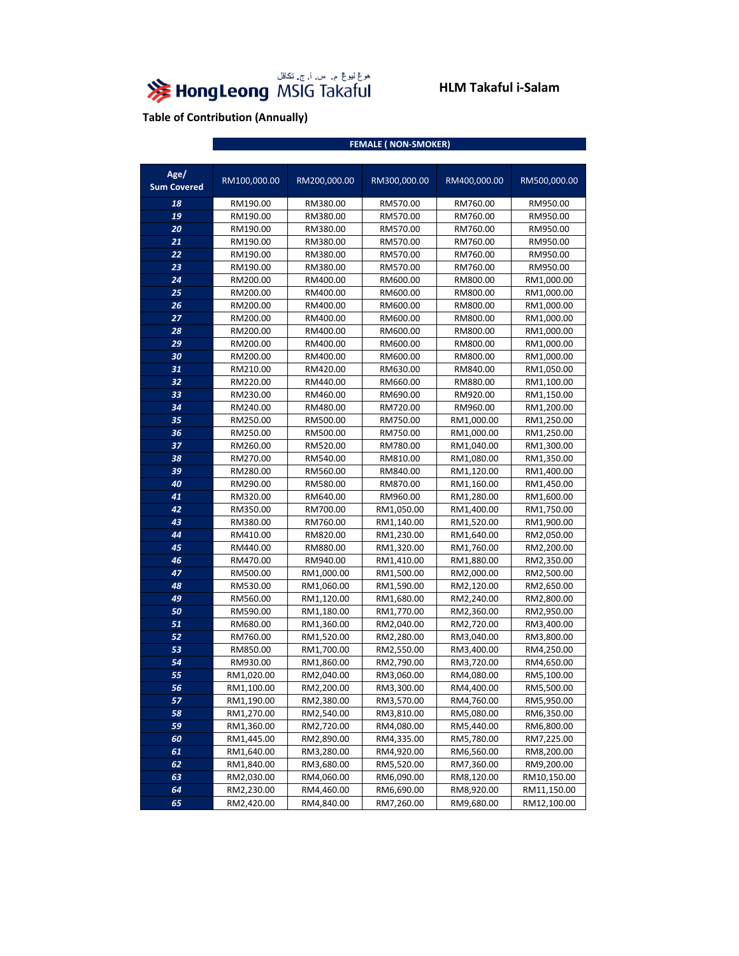

|                            | <b>FEMALE (NON-SMOKER)</b> |              |              |              |              |
|----------------------------|----------------------------|--------------|--------------|--------------|--------------|
|                            |                            |              |              |              |              |
| Age/<br><b>Sum Covered</b> | RM100,000.00               | RM200,000.00 | RM300,000.00 | RM400,000.00 | RM500,000.00 |
| 18                         | RM190.00                   | RM380.00     | RM570.00     | RM760.00     | RM950.00     |
| 19                         | RM190.00                   | RM380.00     | RM570.00     | RM760.00     | RM950.00     |
| 20                         | RM190.00                   | RM380.00     | RM570.00     | RM760.00     | RM950.00     |
| 21                         | RM190.00                   | RM380.00     | RM570.00     | RM760.00     | RM950.00     |
| 22                         | RM190.00                   | RM380.00     | RM570.00     | RM760.00     | RM950.00     |
| 23                         | RM190.00                   | RM380.00     | RM570.00     | RM760.00     | RM950.00     |
| 24                         | RM200.00                   | RM400.00     | RM600.00     | RM800.00     | RM1,000.00   |
| 25                         | RM200.00                   | RM400.00     | RM600.00     | RM800.00     | RM1,000.00   |
| 26                         | RM200.00                   | RM400.00     | RM600.00     | RM800.00     | RM1,000.00   |
| 27                         | RM200.00                   | RM400.00     | RM600.00     | RM800.00     | RM1,000.00   |
| 28                         | RM200.00                   | RM400.00     | RM600.00     | RM800.00     | RM1,000.00   |
| 29                         | RM200.00                   | RM400.00     | RM600.00     | RM800.00     | RM1,000.00   |
| 30                         | RM200.00                   | RM400.00     | RM600.00     | RM800.00     | RM1,000.00   |
| 31                         | RM210.00                   | RM420.00     | RM630.00     | RM840.00     | RM1,050.00   |
| 32                         | RM220.00                   | RM440.00     | RM660.00     | RM880.00     | RM1,100.00   |
| 33                         | RM230.00                   | RM460.00     | RM690.00     | RM920.00     | RM1,150.00   |
| 34                         | RM240.00                   | RM480.00     | RM720.00     | RM960.00     | RM1,200.00   |
| 35                         | RM250.00                   | RM500.00     | RM750.00     | RM1,000.00   | RM1,250.00   |
| 36                         | RM250.00                   | RM500.00     | RM750.00     | RM1,000.00   | RM1,250.00   |
| 37                         | RM260.00                   | RM520.00     | RM780.00     | RM1,040.00   | RM1,300.00   |
| 38                         | RM270.00                   | RM540.00     | RM810.00     | RM1,080.00   | RM1,350.00   |
| 39                         | RM280.00                   | RM560.00     | RM840.00     | RM1,120.00   | RM1,400.00   |
| 40                         | RM290.00                   | RM580.00     | RM870.00     | RM1,160.00   | RM1,450.00   |
| 41                         | RM320.00                   | RM640.00     | RM960.00     | RM1,280.00   | RM1,600.00   |
| 42                         | RM350.00                   | RM700.00     | RM1,050.00   | RM1,400.00   | RM1,750.00   |
| 43                         | RM380.00                   | RM760.00     | RM1,140.00   | RM1,520.00   | RM1,900.00   |
| 44                         | RM410.00                   | RM820.00     | RM1,230.00   | RM1,640.00   | RM2,050.00   |
| 45                         | RM440.00                   | RM880.00     | RM1,320.00   | RM1,760.00   | RM2,200.00   |
| 46                         | RM470.00                   | RM940.00     | RM1,410.00   | RM1,880.00   | RM2,350.00   |
| 47                         | RM500.00                   | RM1,000.00   | RM1,500.00   | RM2,000.00   | RM2,500.00   |
| 48                         | RM530.00                   | RM1,060.00   | RM1,590.00   | RM2,120.00   | RM2,650.00   |
| 49                         | RM560.00                   | RM1,120.00   | RM1,680.00   | RM2,240.00   | RM2,800.00   |
| 50                         | RM590.00                   | RM1,180.00   | RM1,770.00   | RM2,360.00   | RM2,950.00   |
| 51                         | RM680.00                   | RM1,360.00   | RM2,040.00   | RM2,720.00   | RM3,400.00   |
| 52                         | RM760.00                   | RM1,520.00   | RM2,280.00   | RM3,040.00   | RM3,800.00   |
| 53                         | RM850.00                   | RM1,700.00   | RM2,550.00   | RM3,400.00   | RM4,250.00   |
| 54                         | RM930.00                   | RM1,860.00   | RM2,790.00   | RM3,720.00   | RM4,650.00   |
| 55                         | RM1,020.00                 | RM2,040.00   | RM3,060.00   | RM4,080.00   | RM5,100.00   |
| 56                         | RM1,100.00                 | RM2,200.00   | RM3,300.00   | RM4,400.00   | RM5,500.00   |
| 57                         | RM1,190.00                 | RM2,380.00   | RM3,570.00   | RM4,760.00   | RM5,950.00   |
| 58                         | RM1,270.00                 | RM2,540.00   | RM3,810.00   | RM5,080.00   | RM6,350.00   |
| 59                         | RM1,360.00                 | RM2,720.00   | RM4,080.00   | RM5,440.00   | RM6,800.00   |
| 60                         | RM1,445.00                 | RM2,890.00   | RM4,335.00   | RM5,780.00   | RM7,225.00   |
| 61                         | RM1,640.00                 | RM3,280.00   | RM4,920.00   | RM6,560.00   | RM8,200.00   |
| 62                         | RM1,840.00                 | RM3,680.00   | RM5,520.00   | RM7,360.00   | RM9,200.00   |
| 63                         | RM2,030.00                 | RM4,060.00   | RM6,090.00   | RM8,120.00   | RM10,150.00  |
| 64                         | RM2,230.00                 | RM4,460.00   | RM6,690.00   | RM8,920.00   | RM11,150.00  |
| 65                         | RM2,420.00                 | RM4,840.00   | RM7,260.00   | RM9,680.00   | RM12,100.00  |